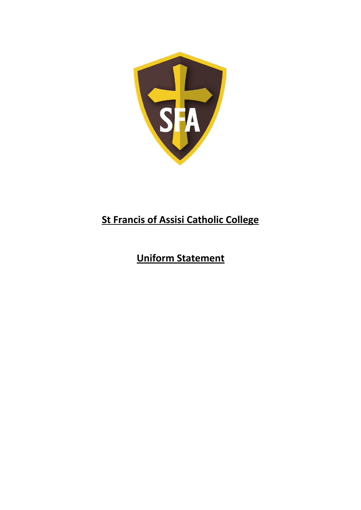

## **St Francis of Assisi Catholic College**

# **Uniform Statement**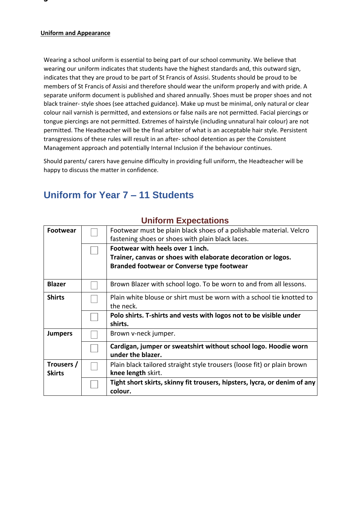#### **Uniform and Appearance**

Wearing a school uniform is essential to being part of our school community. We believe that wearing our uniform indicates that students have the highest standards and, this outward sign, indicates that they are proud to be part of St Francis of Assisi. Students should be proud to be members of St Francis of Assisi and therefore should wear the uniform properly and with pride. A separate uniform document is published and shared annually. Shoes must be proper shoes and not black trainer- style shoes (see attached guidance). Make up must be minimal, only natural or clear colour nail varnish is permitted, and extensions or false nails are not permitted. Facial piercings or tongue piercings are not permitted. Extremes of hairstyle (including unnatural hair colour) are not permitted. The Headteacher will be the final arbiter of what is an acceptable hair style. Persistent transgressions of these rules will result in an after- school detention as per the Consistent Management approach and potentially Internal Inclusion if the behaviour continues.

Should parents/ carers have genuine difficulty in providing full uniform, the Headteacher will be happy to discuss the matter in confidence.

### **Uniform for Year 7 – 11 Students**

| <b>Footwear</b> |                                  | Footwear must be plain black shoes of a polishable material. Velcro<br>fastening shoes or shoes with plain black laces. |  |
|-----------------|----------------------------------|-------------------------------------------------------------------------------------------------------------------------|--|
|                 | Footwear with heels over 1 inch. |                                                                                                                         |  |
|                 |                                  | Trainer, canvas or shoes with elaborate decoration or logos.                                                            |  |
|                 |                                  | <b>Branded footwear or Converse type footwear</b>                                                                       |  |
| <b>Blazer</b>   |                                  | Brown Blazer with school logo. To be worn to and from all lessons.                                                      |  |
| <b>Shirts</b>   |                                  | Plain white blouse or shirt must be worn with a school tie knotted to<br>the neck.                                      |  |
|                 |                                  | Polo shirts. T-shirts and vests with logos not to be visible under<br>shirts.                                           |  |
| <b>Jumpers</b>  |                                  | Brown v-neck jumper.                                                                                                    |  |
|                 |                                  | Cardigan, jumper or sweatshirt without school logo. Hoodie worn<br>under the blazer.                                    |  |
| Trousers /      |                                  | Plain black tailored straight style trousers (loose fit) or plain brown                                                 |  |
| <b>Skirts</b>   | knee length skirt.               |                                                                                                                         |  |
|                 |                                  | Tight short skirts, skinny fit trousers, hipsters, lycra, or denim of any                                               |  |
|                 |                                  | colour.                                                                                                                 |  |

### **Uniform Expectations**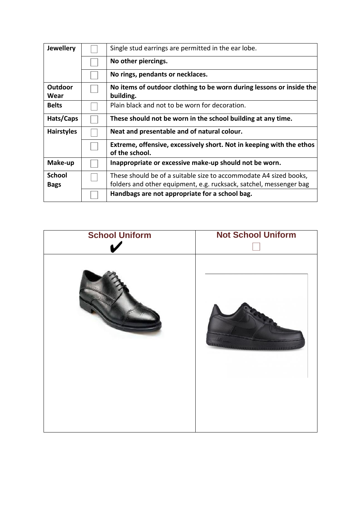| <b>Jewellery</b>             | Single stud earrings are permitted in the ear lobe.                                                                                     |  |  |
|------------------------------|-----------------------------------------------------------------------------------------------------------------------------------------|--|--|
|                              | No other piercings.                                                                                                                     |  |  |
|                              | No rings, pendants or necklaces.                                                                                                        |  |  |
| Outdoor<br>Wear              | No items of outdoor clothing to be worn during lessons or inside the<br>building.                                                       |  |  |
| <b>Belts</b>                 | Plain black and not to be worn for decoration.                                                                                          |  |  |
| Hats/Caps                    | These should not be worn in the school building at any time.                                                                            |  |  |
| <b>Hairstyles</b>            | Neat and presentable and of natural colour.                                                                                             |  |  |
|                              | Extreme, offensive, excessively short. Not in keeping with the ethos<br>of the school.                                                  |  |  |
| Make-up                      | Inappropriate or excessive make-up should not be worn.                                                                                  |  |  |
| <b>School</b><br><b>Bags</b> | These should be of a suitable size to accommodate A4 sized books,<br>folders and other equipment, e.g. rucksack, satchel, messenger bag |  |  |
|                              | Handbags are not appropriate for a school bag.                                                                                          |  |  |

| <b>School Uniform</b> | <b>Not School Uniform</b> |
|-----------------------|---------------------------|
|                       |                           |
|                       |                           |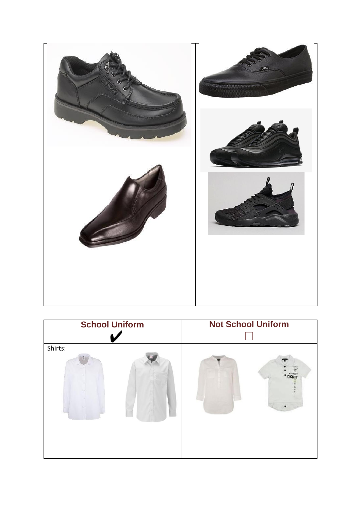